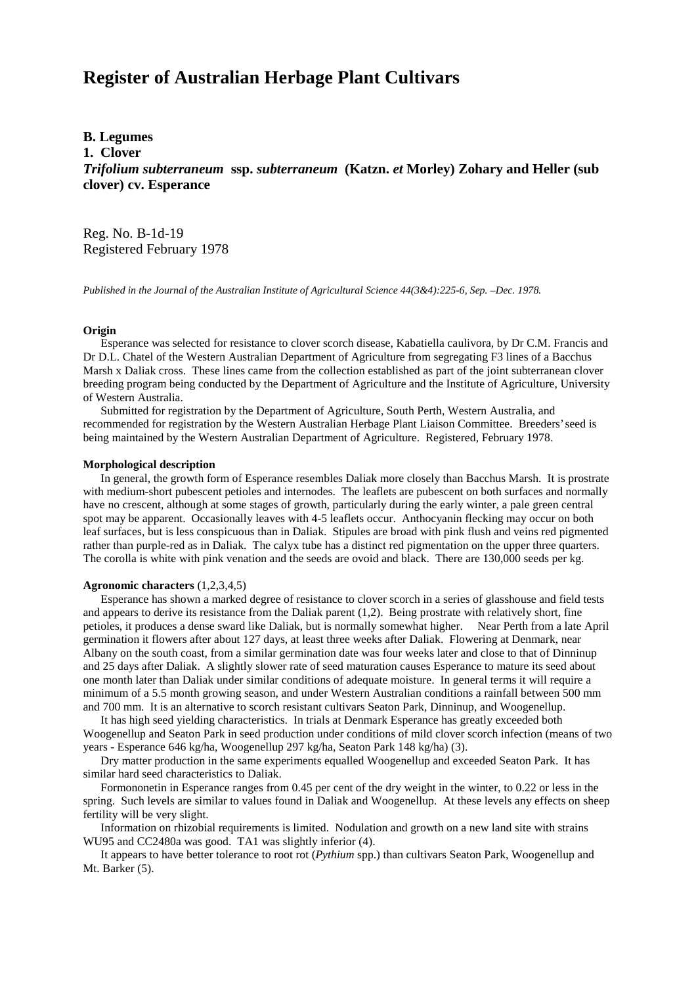# **Register of Australian Herbage Plant Cultivars**

# **B. Legumes**

**1. Clover**

*Trifolium subterraneum* **ssp.** *subterraneum* **(Katzn.** *et* **Morley) Zohary and Heller (sub clover) cv. Esperance**

Reg. No. B-1d-19 Registered February 1978

*Published in the Journal of the Australian Institute of Agricultural Science 44(3&4):225-6, Sep. –Dec. 1978.*

### **Origin**

 Esperance was selected for resistance to clover scorch disease, Kabatiella caulivora, by Dr C.M. Francis and Dr D.L. Chatel of the Western Australian Department of Agriculture from segregating F3 lines of a Bacchus Marsh x Daliak cross. These lines came from the collection established as part of the joint subterranean clover breeding program being conducted by the Department of Agriculture and the Institute of Agriculture, University of Western Australia.

 Submitted for registration by the Department of Agriculture, South Perth, Western Australia, and recommended for registration by the Western Australian Herbage Plant Liaison Committee. Breeders' seed is being maintained by the Western Australian Department of Agriculture. Registered, February 1978.

#### **Morphological description**

 In general, the growth form of Esperance resembles Daliak more closely than Bacchus Marsh. It is prostrate with medium-short pubescent petioles and internodes. The leaflets are pubescent on both surfaces and normally have no crescent, although at some stages of growth, particularly during the early winter, a pale green central spot may be apparent. Occasionally leaves with 4-5 leaflets occur. Anthocyanin flecking may occur on both leaf surfaces, but is less conspicuous than in Daliak. Stipules are broad with pink flush and veins red pigmented rather than purple-red as in Daliak. The calyx tube has a distinct red pigmentation on the upper three quarters. The corolla is white with pink venation and the seeds are ovoid and black. There are 130,000 seeds per kg.

## **Agronomic characters** (1,2,3,4,5)

 Esperance has shown a marked degree of resistance to clover scorch in a series of glasshouse and field tests and appears to derive its resistance from the Daliak parent (1,2). Being prostrate with relatively short, fine petioles, it produces a dense sward like Daliak, but is normally somewhat higher. Near Perth from a late April germination it flowers after about 127 days, at least three weeks after Daliak. Flowering at Denmark, near Albany on the south coast, from a similar germination date was four weeks later and close to that of Dinninup and 25 days after Daliak. A slightly slower rate of seed maturation causes Esperance to mature its seed about one month later than Daliak under similar conditions of adequate moisture. In general terms it will require a minimum of a 5.5 month growing season, and under Western Australian conditions a rainfall between 500 mm and 700 mm. It is an alternative to scorch resistant cultivars Seaton Park, Dinninup, and Woogenellup.

 It has high seed yielding characteristics. In trials at Denmark Esperance has greatly exceeded both Woogenellup and Seaton Park in seed production under conditions of mild clover scorch infection (means of two years - Esperance 646 kg/ha, Woogenellup 297 kg/ha, Seaton Park 148 kg/ha) (3).

 Dry matter production in the same experiments equalled Woogenellup and exceeded Seaton Park. It has similar hard seed characteristics to Daliak.

 Formononetin in Esperance ranges from 0.45 per cent of the dry weight in the winter, to 0.22 or less in the spring. Such levels are similar to values found in Daliak and Woogenellup. At these levels any effects on sheep fertility will be very slight.

 Information on rhizobial requirements is limited. Nodulation and growth on a new land site with strains WU95 and CC2480a was good. TA1 was slightly inferior (4).

 It appears to have better tolerance to root rot (*Pythium* spp.) than cultivars Seaton Park, Woogenellup and Mt. Barker (5).